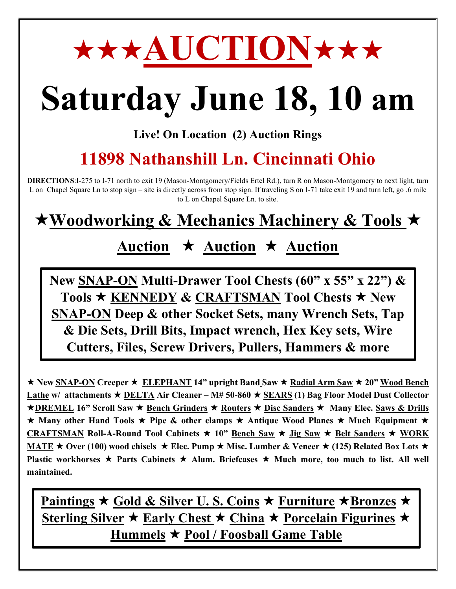

# **Saturday June 18, 10 am**

**Live! On Location (2) Auction Rings**

### **11898 Nathanshill Ln. Cincinnati Ohio**

**DIRECTIONS**:I-275 to I-71 north to exit 19 (Mason-Montgomery/Fields Ertel Rd.), turn R on Mason-Montgomery to next light, turn L on Chapel Square Ln to stop sign – site is directly across from stop sign. If traveling S on I-71 take exit 19 and turn left, go .6 mile to L on Chapel Square Ln. to site.

#### **Woodworking & Mechanics Machinery & Tools**

#### **Auction Auction Auction**

**New SNAP-ON Multi-Drawer Tool Chests (60" x 55" x 22") & Tools KENNEDY & CRAFTSMAN Tool Chests New SNAP-ON Deep & other Socket Sets, many Wrench Sets, Tap & Die Sets, Drill Bits, Impact wrench, Hex Key sets, Wire Cutters, Files, Screw Drivers, Pullers, Hammers & more**

 **New SNAP-ON Creeper ELEPHANT 14" upright Band Saw Radial Arm Saw 20" Wood Bench Lathe w/** attachments  $\star$  **DELTA** Air Cleaner – M# 50-860  $\star$  **SEARS** (1) Bag Floor Model Dust Collector **★DREMEL** 16" Scroll Saw ★ <u>Bench Grinders</u> ★ Routers ★ Disc Sanders ★ Many Elec. Saws & Drills  $\star$  **Many other Hand Tools**  $\star$  **Pipe & other clamps**  $\star$  **Antique Wood Planes**  $\star$  **Much Equipment**  $\star$ **CRAFTSMAN** Roll-A-Round Tool Cabinets  $\star$  10" <u>Bench Saw</u>  $\star$  Jig Saw  $\star$  Belt Sanders  $\star$  WORK **MATE**  $\star$  Over (100) wood chisels  $\star$  Elec. Pump  $\star$  Misc. Lumber & Veneer  $\star$  (125) Related Box Lots  $\star$ Plastic workhorses ★ Parts Cabinets ★ Alum. Briefcases ★ Much more, too much to list. All well **maintained.**

**Paintings**  $\star$  Gold & Silver U.S. Coins  $\star$  Furniture  $\star$  Bronzes  $\star$ **Sterling Silver ★ Early Chest ★ China ★ Porcelain Figurines ★ Hummels Pool / Foosball Game Table**